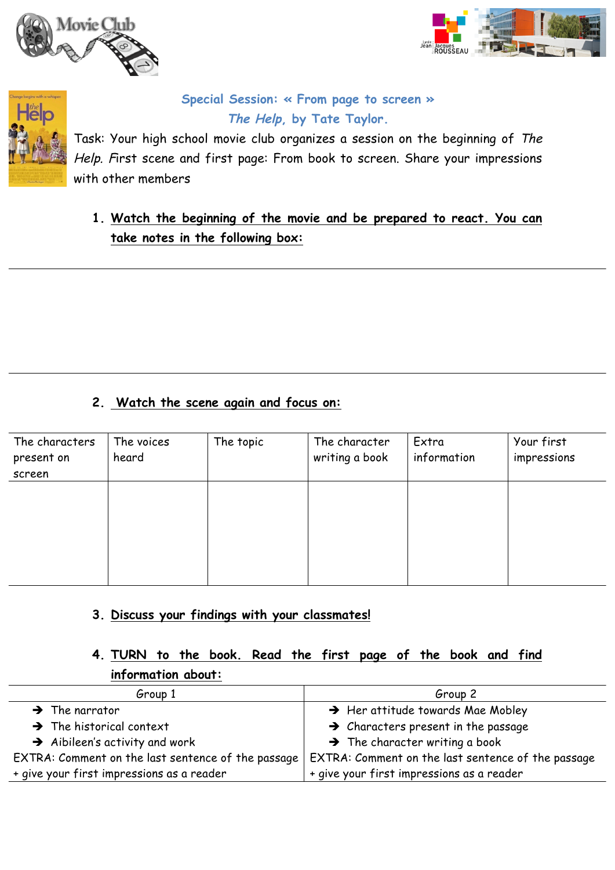





## **Special Session: « From page to screen » The Help, by Tate Taylor.**

Task: Your high school movie club organizes a session on the beginning of The Help. First scene and first page: From book to screen. Share your impressions with other members

**1. Watch the beginning of the movie and be prepared to react. You can take notes in the following box:**

## **2. Watch the scene again and focus on:**

| The characters<br>present on<br>screen | The voices<br>heard | The topic | The character<br>writing a book | Extra<br>information | Your first<br>impressions |
|----------------------------------------|---------------------|-----------|---------------------------------|----------------------|---------------------------|
|                                        |                     |           |                                 |                      |                           |
|                                        |                     |           |                                 |                      |                           |

#### **3. Discuss your findings with your classmates!**

## **4. TURN to the book. Read the first page of the book and find information about:**

| Group 1                                            | Group 2                                            |  |
|----------------------------------------------------|----------------------------------------------------|--|
| $\rightarrow$ The narrator                         | $\rightarrow$ Her attitude towards Mae Mobley      |  |
| $\rightarrow$ The historical context               | $\rightarrow$ Characters present in the passage    |  |
| $\rightarrow$ Aibileen's activity and work         | $\rightarrow$ The character writing a book         |  |
| EXTRA: Comment on the last sentence of the passage | EXTRA: Comment on the last sentence of the passage |  |
| + give your first impressions as a reader          | + give your first impressions as a reader          |  |